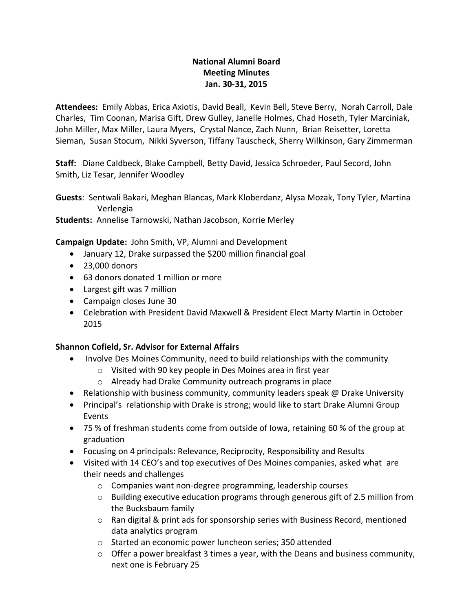## **National Alumni Board Meeting Minutes Jan. 30-31, 2015**

**Attendees:** Emily Abbas, Erica Axiotis, David Beall, Kevin Bell, Steve Berry, Norah Carroll, Dale Charles, Tim Coonan, Marisa Gift, Drew Gulley, Janelle Holmes, Chad Hoseth, Tyler Marciniak, John Miller, Max Miller, Laura Myers, Crystal Nance, Zach Nunn, Brian Reisetter, Loretta Sieman, Susan Stocum, Nikki Syverson, Tiffany Tauscheck, Sherry Wilkinson, Gary Zimmerman

**Staff:** Diane Caldbeck, Blake Campbell, Betty David, Jessica Schroeder, Paul Secord, John Smith, Liz Tesar, Jennifer Woodley

**Guests**: Sentwali Bakari, Meghan Blancas, Mark Kloberdanz, Alysa Mozak, Tony Tyler, Martina Verlengia

**Students:** Annelise Tarnowski, Nathan Jacobson, Korrie Merley

**Campaign Update:** John Smith, VP, Alumni and Development

- January 12, Drake surpassed the \$200 million financial goal
- 23,000 donors
- 63 donors donated 1 million or more
- Largest gift was 7 million
- Campaign closes June 30
- Celebration with President David Maxwell & President Elect Marty Martin in October 2015

### **Shannon Cofield, Sr. Advisor for External Affairs**

- Involve Des Moines Community, need to build relationships with the community
	- o Visited with 90 key people in Des Moines area in first year
	- o Already had Drake Community outreach programs in place
- Relationship with business community, community leaders speak @ Drake University
- Principal's relationship with Drake is strong; would like to start Drake Alumni Group Events
- 75 % of freshman students come from outside of Iowa, retaining 60 % of the group at graduation
- Focusing on 4 principals: Relevance, Reciprocity, Responsibility and Results
- Visited with 14 CEO's and top executives of Des Moines companies, asked what are their needs and challenges
	- o Companies want non-degree programming, leadership courses
	- o Building executive education programs through generous gift of 2.5 million from the Bucksbaum family
	- $\circ$  Ran digital & print ads for sponsorship series with Business Record, mentioned data analytics program
	- o Started an economic power luncheon series; 350 attended
	- o Offer a power breakfast 3 times a year, with the Deans and business community, next one is February 25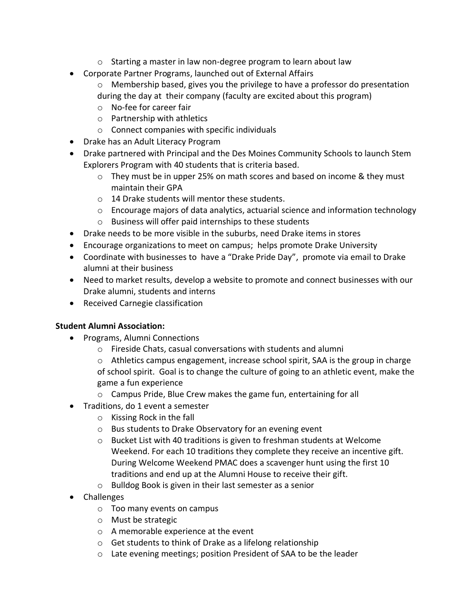- o Starting a master in law non-degree program to learn about law
- Corporate Partner Programs, launched out of External Affairs
	- o Membership based, gives you the privilege to have a professor do presentation during the day at their company (faculty are excited about this program)
	- o No-fee for career fair
	- o Partnership with athletics
	- o Connect companies with specific individuals
- Drake has an Adult Literacy Program
- Drake partnered with Principal and the Des Moines Community Schools to launch Stem Explorers Program with 40 students that is criteria based.
	- o They must be in upper 25% on math scores and based on income & they must maintain their GPA
	- o 14 Drake students will mentor these students.
	- $\circ$  Encourage majors of data analytics, actuarial science and information technology
	- o Business will offer paid internships to these students
- Drake needs to be more visible in the suburbs, need Drake items in stores
- Encourage organizations to meet on campus; helps promote Drake University
- Coordinate with businesses to have a "Drake Pride Day", promote via email to Drake alumni at their business
- Need to market results, develop a website to promote and connect businesses with our Drake alumni, students and interns
- Received Carnegie classification

# **Student Alumni Association:**

- Programs, Alumni Connections
	- o Fireside Chats, casual conversations with students and alumni
	- $\circ$  Athletics campus engagement, increase school spirit, SAA is the group in charge of school spirit. Goal is to change the culture of going to an athletic event, make the game a fun experience
	- o Campus Pride, Blue Crew makes the game fun, entertaining for all
- Traditions, do 1 event a semester
	- o Kissing Rock in the fall
	- o Bus students to Drake Observatory for an evening event
	- $\circ$  Bucket List with 40 traditions is given to freshman students at Welcome Weekend. For each 10 traditions they complete they receive an incentive gift. During Welcome Weekend PMAC does a scavenger hunt using the first 10 traditions and end up at the Alumni House to receive their gift.
	- o Bulldog Book is given in their last semester as a senior
- Challenges
	- o Too many events on campus
	- o Must be strategic
	- o A memorable experience at the event
	- o Get students to think of Drake as a lifelong relationship
	- o Late evening meetings; position President of SAA to be the leader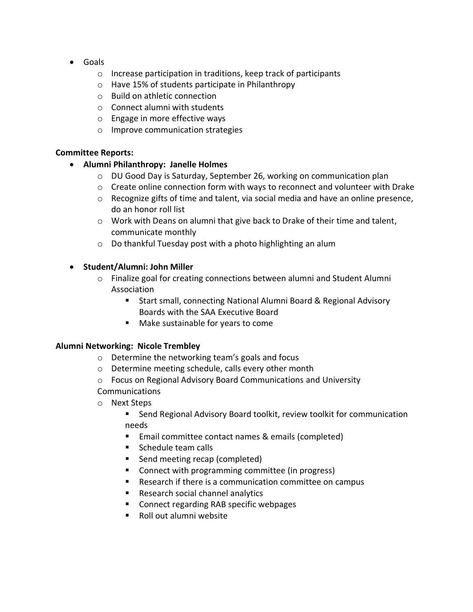- Goals
	- o Increase participation in traditions, keep track of participants
	- o Have 15% of students participate in Philanthropy
	- o Build on athletic connection
	- o Connect alumni with students
	- o Engage in more effective ways
	- o Improve communication strategies

### **Committee Reports:**

- **Alumni Philanthropy: Janelle Holmes**
	- $\circ$  DU Good Day is Saturday, September 26, working on communication plan
	- $\circ$  Create online connection form with ways to reconnect and volunteer with Drake
	- $\circ$  Recognize gifts of time and talent, via social media and have an online presence, do an honor roll list
	- o Work with Deans on alumni that give back to Drake of their time and talent, communicate monthly
	- o Do thankful Tuesday post with a photo highlighting an alum

### • **Student/Alumni: John Miller**

- $\circ$  Finalize goal for creating connections between alumni and Student Alumni Association
	- Start small, connecting National Alumni Board & Regional Advisory Boards with the SAA Executive Board
	- Make sustainable for years to come

### **Alumni Networking: Nicole Trembley**

- o Determine the networking team's goals and focus
- o Determine meeting schedule, calls every other month
- o Focus on Regional Advisory Board Communications and University
- Communications
- o Next Steps
	- Send Regional Advisory Board toolkit, review toolkit for communication needs
	- Email committee contact names & emails (completed)
	- Schedule team calls
	- Send meeting recap (completed)
	- Connect with programming committee (in progress)
	- Research if there is a communication committee on campus
	- Research social channel analytics
	- Connect regarding RAB specific webpages
	- Roll out alumni website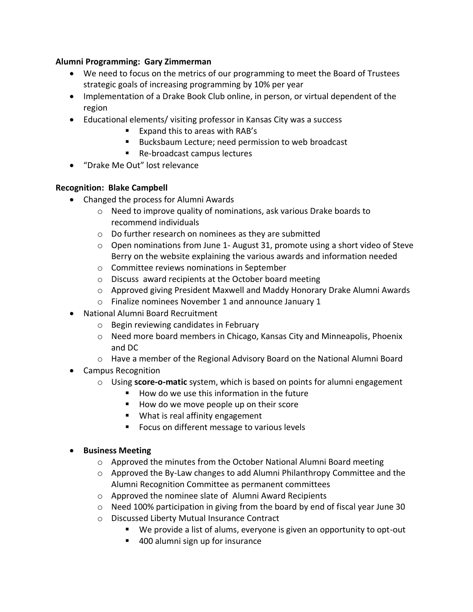#### **Alumni Programming: Gary Zimmerman**

- We need to focus on the metrics of our programming to meet the Board of Trustees strategic goals of increasing programming by 10% per year
- Implementation of a Drake Book Club online, in person, or virtual dependent of the region
- Educational elements/ visiting professor in Kansas City was a success
	- Expand this to areas with RAB's
	- Bucksbaum Lecture; need permission to web broadcast
	- Re-broadcast campus lectures
- "Drake Me Out" lost relevance

### **Recognition: Blake Campbell**

- Changed the process for Alumni Awards
	- o Need to improve quality of nominations, ask various Drake boards to recommend individuals
	- o Do further research on nominees as they are submitted
	- $\circ$  Open nominations from June 1- August 31, promote using a short video of Steve Berry on the website explaining the various awards and information needed
	- o Committee reviews nominations in September
	- o Discuss award recipients at the October board meeting
	- o Approved giving President Maxwell and Maddy Honorary Drake Alumni Awards
	- o Finalize nominees November 1 and announce January 1
- National Alumni Board Recruitment
	- o Begin reviewing candidates in February
	- $\circ$  Need more board members in Chicago, Kansas City and Minneapolis, Phoenix and DC
	- $\circ$  Have a member of the Regional Advisory Board on the National Alumni Board
- Campus Recognition
	- o Using **score-o-matic** system, which is based on points for alumni engagement
		- How do we use this information in the future
		- How do we move people up on their score
		- What is real affinity engagement
		- Focus on different message to various levels

### • **Business Meeting**

- o Approved the minutes from the October National Alumni Board meeting
- $\circ$  Approved the By-Law changes to add Alumni Philanthropy Committee and the Alumni Recognition Committee as permanent committees
- o Approved the nominee slate of Alumni Award Recipients
- $\circ$  Need 100% participation in giving from the board by end of fiscal year June 30
- o Discussed Liberty Mutual Insurance Contract
	- We provide a list of alums, everyone is given an opportunity to opt-out
	- 400 alumni sign up for insurance